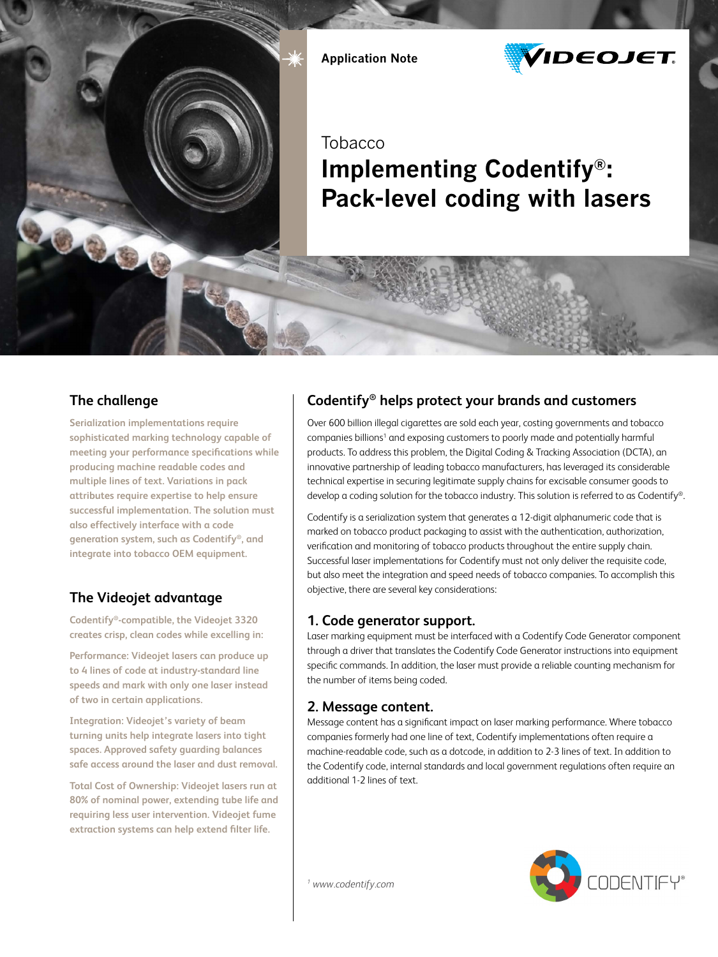

Application Note



**Tobacco** 

# Implementing Codentify®: Pack-level coding with lasers

## **The challenge**

**Serialization implementations require sophisticated marking technology capable of meeting your performance specifications while producing machine readable codes and multiple lines of text. Variations in pack attributes require expertise to help ensure successful implementation. The solution must also effectively interface with a code generation system, such as Codentify®, and integrate into tobacco OEM equipment.**

# **The Videojet advantage**

**Codentify®-compatible, the Videojet 3320 creates crisp, clean codes while excelling in:**

**Performance: Videojet lasers can produce up to 4 lines of code at industry-standard line speeds and mark with only one laser instead of two in certain applications.**

**Integration: Videojet's variety of beam turning units help integrate lasers into tight spaces. Approved safety guarding balances safe access around the laser and dust removal.**

**Total Cost of Ownership: Videojet lasers run at 80% of nominal power, extending tube life and requiring less user intervention. Videojet fume extraction systems can help extend filter life.**

# **Codentify® helps protect your brands and customers**

Over 600 billion illegal cigarettes are sold each year, costing governments and tobacco companies billions<sup>1</sup> and exposing customers to poorly made and potentially harmful products. To address this problem, the Digital Coding & Tracking Association (DCTA), an innovative partnership of leading tobacco manufacturers, has leveraged its considerable technical expertise in securing legitimate supply chains for excisable consumer goods to develop a coding solution for the tobacco industry. This solution is referred to as Codentify®.

Codentify is a serialization system that generates a 12-digit alphanumeric code that is marked on tobacco product packaging to assist with the authentication, authorization, verification and monitoring of tobacco products throughout the entire supply chain. Successful laser implementations for Codentify must not only deliver the requisite code, but also meet the integration and speed needs of tobacco companies. To accomplish this objective, there are several key considerations:

#### **1. Code generator support.**

Laser marking equipment must be interfaced with a Codentify Code Generator component through a driver that translates the Codentify Code Generator instructions into equipment specific commands. In addition, the laser must provide a reliable counting mechanism for the number of items being coded.

## **2. Message content.**

Message content has a significant impact on laser marking performance. Where tobacco companies formerly had one line of text, Codentify implementations often require a machine-readable code, such as a dotcode, in addition to 2-3 lines of text. In addition to the Codentify code, internal standards and local government regulations often require an additional 1-2 lines of text.



*1 www.codentify.com*